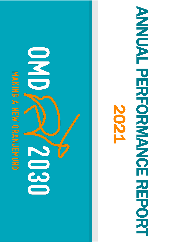**MAKING A NEW ORANGEND** 

# COD CO

# ANNUAL PERSORIAL PERSORIAL **ANAMERICE REPORT OF EXERCITION** 2021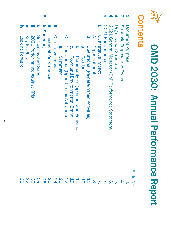

# OMD 2030: Annual Performance Report OMD 2030: Annual Performance Report

### Contents Contents

|                       |              |                               |                    | <u>ဝှ</u> |                              |                    |                                 |                                                    |                                    |                                     |                     |                                                  |                       |                     | <u>ុ</u> ហ       | $\overline{4}$                                  | ယ                         | $\overline{\mathsf{M}}$     | $\mathbf{P}$        |                 |
|-----------------------|--------------|-------------------------------|--------------------|-----------|------------------------------|--------------------|---------------------------------|----------------------------------------------------|------------------------------------|-------------------------------------|---------------------|--------------------------------------------------|-----------------------|---------------------|------------------|-------------------------------------------------|---------------------------|-----------------------------|---------------------|-----------------|
| ζ.<br>Looking Forward | Key Insights | 2021 Performance Against KPIs | Successes and Gaps | Vetnumery | <b>Financial Performance</b> | Qualitative Impact | $\tilde{\mathbf{o}}$<br>Summary | <u>ှ</u><br>Operational (Opportunistic Activities) | ဂှ<br>Town and Environmental Brand | Community Engagement and Activation | <u>ဖ</u><br>Tourism | ლ<br>.<br>Operational (Pe-determined Activities) | <b>Drganisational</b> | Quantitative Impact | 2021 Performance | 2021 General Manager (GM) Performance Statement | Organisation<br>Structure | Strategic Purpose and Focus | Document<br>Purpose |                 |
|                       |              |                               |                    |           |                              |                    |                                 |                                                    |                                    |                                     |                     |                                                  |                       |                     |                  |                                                 |                           |                             |                     | <b>Slide No</b> |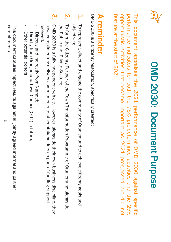

## OMD 2030: Document Purpose OMD 2030: Document Purpose

This document appraises the 2021 performance <u>ር</u> OMD 2030 against specific performance indicators for both the<br>R <u>ក្</u>  $\%$ pre-determined activities and the<br>R )<br>Ծ  $\%$ opportunistic activities that became important တ<br>တ 2021 progressed but did not feature <u>ന്</u> the<br>R start <u>ር</u> 2021.

### **A reminder** A reminder

OMD 2030 is a Citizenry Association, specifically created: OMD 2030 is a Citizenry Association, specifically created:

- 1. To represent, direct and engage the community of Oranjemund to achieve citizenry goals and objectives objectives; To represent, direct and engage the community of Oranjemund to achieve citizenry goals and
- **N** the Public and Private Sectors; To form the Citizenry Partner of the Town Transformation Programme of Oranjemund alongside the Public and Private Sectors; To form the Citizenry Partner of the Town Transformation Programme of Oranjemund alongside
- $\mathbf{\hat{S}}$ received have complimentary delivery commitments to other stakeholders as part of funding support OMD 2030 is a fully independent vehicle. However, alongside their own business discipline, they OMD 2030 is a fully independent vehicle. However, alongside their own business discipline, they received: have complimentary delivery commitments to other stakeholders as part of funding support
- Directly and indirectly from Namdeb; Directly and indirectly from Namdeb;
- Directly from Oranjemund Town Council (OTC) in future; Directly from Oranjemund Town Council (OTC ) in future;
- Other potential donors Other potential donors.

-

commitments. commitments. This document captures impact results against all jointly agreed internal and partner This document captures impact results against all jointly agreed internal and partner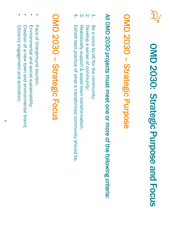

# OMD 2030: Strategic Purpose and Focus OMD 2030: Strategic Purpose and Focus

### OMD 2030 OMD 2030 - Strategic Purpose Strategic Purpose

# All OMD 2030 projects must meet one or more of the following criteria: All OMD 2030 projects must meet one or more of the following criteria:

- 1. Be a voice to/of/for the community; Be a voice to/of/for the community;
- $\overline{N}$ Develop a sense of community Develop a sense of community;
- $\omega$ Realistically support & assist town transformation; Realistically support & assist town transformation;
- 4. Exhibit best practice of what a transformed community should be Exhibit best practice of what a transformed community should be.

### OMD 2030 OMD 2030 - Strategic Focus Strategic Focus

- Face of Oranjemund Face of Oranjemund tourism;
- Environmental and social sustainability; Environmental and social sustainability;
- Creation of a new town and environmental brand; Creation of a new town and environmental brand;
- Citizenry engagement and activation Citizenry engagement and activation.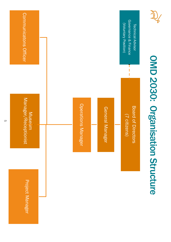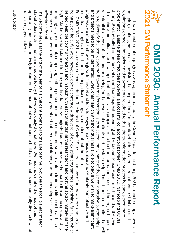| OWD 2030: Annua<br>2021 GM Performance Statement<br>OMD 2030: Annual Performance Report                                                                                                                                                                                                                                                              |
|------------------------------------------------------------------------------------------------------------------------------------------------------------------------------------------------------------------------------------------------------------------------------------------------------------------------------------------------------|
| complex, challenging process, involving the cooperation of many stakeholders. When extra national restrictions and<br>regulations on social behaviour and movement are added to this, the transformation process becomes even more<br>Town Transformation progress was again impacted by the Covid-19 pandemic during 2021. Transforming a town is a |
| during 2021 resulted in the renovation and subsequent reopening of the Jasper House Museum at the end of the year.<br>problematic. Despite these difficulties handeb and 2030, Namer oMD 2030, Namer om DMD 2030, Namer and DMD is                                                                                                                   |
| re-establish a sense of pride and belonging for the town's inhabitants and provides a significant tourism attraction that will<br>This achieverance illustrates now inportant collation and to the transformation process. The project perbed to                                                                                                     |
| and projects need to be implemented. Every organisation and individual has a role to play. If we wish to make significant<br>help to diversify the local economy. If town transformation is to succeed, many more of these collaborative partnerships                                                                                                |
| progress, we must embrace a growth mindset and look for ways to maximise, utilise and celebrate our collective and                                                                                                                                                                                                                                   |
| For OMD 2020, 2020 and projects and provid-19 covid-19 resulted in many of Covid-19 resulter. The impact of Covid-19 resulted in many of covid-19 resulted in the impact of Covid-19 resulted in the impact of Covid-19 result<br>individual strengths, rather than adopting a fixed or negative mindset a<br>bout the future                        |
| helped keep the community active and in touch with each other during<br>being put on hold. We were, however, able to continue with several of our existing programmes; organising fun runs, which<br>the restrictions and hosting approximately half the                                                                                             |
| Night Markets we had planned for the year. In addition, we migrated our resilience workshops to the online space, and by                                                                                                                                                                                                                             |
| coaches are now available to help every community member that needs assistance, and their coaching sessions are<br>adopting a hybrid model, comprising potable to train tish owere able to train in the life coaches. These                                                                                                                          |
| The welcome news at the end of the year of a significant extension to the Life of Mine, provides the local transformation<br>attordable tor all.                                                                                                                                                                                                     |
| active, engaged citizens<br>opportunity and collaboratively implement the most effective methods to build a sustainable, economically diverse town of<br>stakeholders with 'Time'; an incredible luxury that we previously did not have. We must now make the most of this                                                                           |
|                                                                                                                                                                                                                                                                                                                                                      |

၁။<br>၁၉ Cooper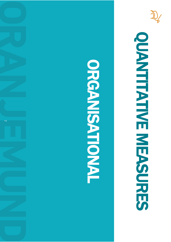

# OONTINE MEASURES OONENHATH NE MESORES

## ORGANISATION ORGANIONIONE

 $\overline{\phantom{0}}$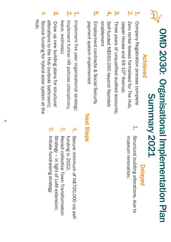## OMD 2030: Organisational Implementation Plan OMD 2030: Organisational **Summary 2021** Summary 2021 Implementation Plan

#### Achieved Achieved

- 1. Company Registration process complete Company Registration process complete
- **N** Zero rental leases formalised for The Hub Jasper House and E9 Zero rental leases formalised for The Hub,  $-1$ Oth Avenue;
- $\boldsymbol{\omega}$ Three years of unqualified audited accounts; Three years of unqualified audited accounts;
- 4. Self-Icraed Z#550,050 peyond Zamaeb enablement enablement Self-funded N\$550,050 beyond Namdeb
- <u>ហ្គ</u> payment system implemented Employment contracts & Social Security payment system implemented Employment contracts & Social Security
- 1. Implement five year organisational strategy; Implement five year organisational strategy;
- **2.** Implement further HR policies (disciplinary, leave, wellness); leave, wellness Implement further HR policies (disciplinary,
- $\omega$ 4. Hub; Source funding for hybrid solar system at the alterations to the Hop (octaing pathroom); alterations to the Hub (outside bathroom); Source funding for hybrid solar system at the Draw up new building plans for structural Draw up new building plans for structural

### Delayed

**ب** Structural building alterations, due to museum renovation; Structural building alterations, due to museum renovation;

#### **Next Steps** Next Steps

- 4. Secre minimum of N\$700,000 via selffunding in 2022; funding in 2022; Secure minimum of N\$700,000 via self-
- <u>ុ</u>ហ Revisit collective Town Transformation Strategy Revisit collective Town Transformation – in light of LoM extension;
- <u>ဂ</u> Initiate fundraising strategy Initiate fundraising strategy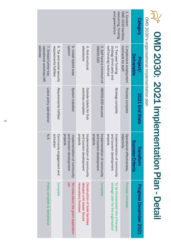|                                             |                                               | Category                      | OMD 2030 facilities,<br>1. Context:           | and governance<br>resourcing, funding                                      |                                                                    |                                                                                          |                                                                    |                                                      |                                                                 |
|---------------------------------------------|-----------------------------------------------|-------------------------------|-----------------------------------------------|----------------------------------------------------------------------------|--------------------------------------------------------------------|------------------------------------------------------------------------------------------|--------------------------------------------------------------------|------------------------------------------------------|-----------------------------------------------------------------|
|                                             | OMD 2030's organisational implementation plan | Deliverable<br>Project/       | contracts for staff<br>1.Implement employment | self-funding) outlined<br>strategy (third party and<br>2. Two-year funding | N\$500,000<br>3. Self fund a minimum of                            | alterations<br>4. Hub structural                                                         | <b>systen</b><br>5. Install hybrid solar                           | 6. Tax and social security<br>requirements fulfilled | operational activities (HR<br>policies)<br>7. Embed further key |
|                                             |                                               | 2021 End State                | Process complete                              | Strategy complete                                                          | <b>N\$500,000 secured</b>                                          | activities complete<br>Octaide toilets for Hub                                           | System installed                                                   | Requirements fulfilled                               | Leave policy operational                                        |
| OMD 2030: 2021 Implementation Plan - Detall |                                               | Success Criteria<br>Transform | objectivity<br>Operational effectiveness,     | and tourism development<br>Implementation of community<br>projects         | and tourism development<br>Implementation of community<br>projects | and tourism development<br>Implementation of community<br>projects                       | and tourism development<br>projects<br>Implementation of community | activation<br>Community engagement and               | N/A                                                             |
|                                             |                                               | <b>Progress December 2021</b> | <b>Process complete</b>                       | strategic plan for the organisation<br>To be incorporated into a five-year | Complete                                                           | renovations finalised<br>delayed until Jasper House<br>Construction of toilet facilities | yet<br>No news about the grant application                         | Complete                                             | Policy complete & operational                                   |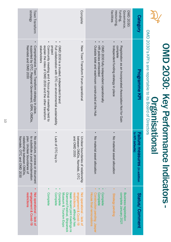|                                                                        | OMD 2030's KPI's are reportable to its Board of Directors<br>OMD 2030: Key Performance Indicators<br><b>Urganisati</b>                                                                                  | phal                                                                                                                                 | $\overline{\phantom{a}}$                                                                                                                                                              |
|------------------------------------------------------------------------|---------------------------------------------------------------------------------------------------------------------------------------------------------------------------------------------------------|--------------------------------------------------------------------------------------------------------------------------------------|---------------------------------------------------------------------------------------------------------------------------------------------------------------------------------------|
| Category                                                               | Programme KPI                                                                                                                                                                                           | to KPI defaults)<br>凹<br><b>UITE MEASUITES</b> (in addition                                                                          | Status/Comment                                                                                                                                                                        |
| funding<br>facilities<br>Governance,<br>resourcing<br><b>OMD 2030:</b> | $\bullet$<br>$\bullet$<br>Independent funding strategy in place<br>complete<br>Registration as an Incorporated Association Not for Gain                                                                 | lo material asset allocation                                                                                                         | complete January 2021<br>Business registration<br><b>Strategy pending</b>                                                                                                             |
|                                                                        | Outside toilet and washroom constructed at the Hub<br><b>HR policies embedded</b><br>OMD 2030 fully independent operationally                                                                           | No material asset allocation                                                                                                         | House final rennovations<br>Construction pending Jasper<br>Complete<br>Complete                                                                                                       |
| Complete                                                               | $\bullet$<br>New Town Transform Porum operational<br>OMD 2030 is a trusted, independent brand                                                                                                           | and OMD 2030<br>between OMDis, Namdeb, OTC<br>Unclear boundaries of relationship                                                     | Not operational - lack of<br>been recent joint meetings re<br>engagement & Covid-19<br>Museum & Tourism Expo<br>restrictions, although has<br>Complete<br>Diamond Festival, Shipwreck |
|                                                                        | explain the roles of OMD 2030 and the other transform<br>Community meeting and 4 focus group meetings held to<br>stakeholders<br>project<br>Full collaboration with OTC on environmental sustainability | ack of OTC buy in                                                                                                                    | Complete<br>Complete                                                                                                                                                                  |
| strategy<br>Town Transform                                             | $\bullet$<br>Comprehensive Town Transform strategy in place<br>supported by OTC, Regional Government, GRN, OMDis,<br>Namdeb and OMD 2030                                                                | relationship between OMDIs,<br>plan. Unclear boundaries of<br>to substitute a post proclamation<br>No structure, process or document | engagement & Covid-19<br>restrictions<br>Not operational - lack of                                                                                                                    |

Namdeb

, OTC and OMD 2030

Namdeb, OTC and OMD 2030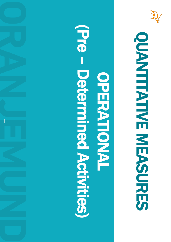

# OONTINE MEASURES **OUNTHAINE MESSURES**

### (Pre – Determined Activities)OPERATION OPERSION<br>NONDER

 $\overline{1}$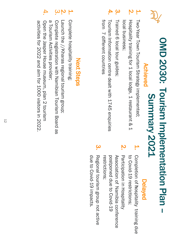

## OMD 2030: Tourism Implementation Plan -OMD 2030: Tourism Implementation Plan **Summary 2021** Summary 2021

### Achieved Achieved

- 1. Two-Year Town Tourism Strategy implemented; Two-Year Town Tourism Strategy implemented;
- **N** Hospitality training for 1 local lodge, 1 restaurant & 1 local business; local business; Hospitality training for 1 local lodge, 1 restaurant & 1
- $\boldsymbol{\omega}$ Trained 6 local tour guides; Trained 6 local tour guides;
- 4. from 7 different countries Tourism Information centre dealt with 1745 enquiries from 7 different countries Tourism Information centre dealt with 1745 enquiries

### Delayed

- 1. Completion of hospitality training due to Covid-19 restrictions; to Covid-19 restrictions; Completion of hospitality training due
- <u>M</u> Association of Namibia conterence Participation in Hospitality postponed due to Covid-19 restrictions; Association of restrictions; postponed due to Covid-19 Participation in Hospitality Namibia conference
- due to Covid-19 impacts. Regional tourism group not active due to Covid Regional tourism group not active -19 impacts.

 $\boldsymbol{\omega}$ 

### **Next Steps** Next Steps

- 1. Complete hospitality training; Complete hospitality training;
- $\omega$   $\sim$ Launch the //Kharas regional tourism group; Launch the //Kharas regional tourism group;
- Complete registration with Namibian Tourism Board as Complete registration with Namibian Tourism Board as
- 4. a Tourism Activities provider; a Tourism Activities provider;
- Open the Jasper House museum, plan 2 tourism Open the Jasper House museum, plan 2 tourism
- activities for 2022 and aim for 1000 visitors in 2022. activities for 2022 and aim for 1000 visitors in 2022.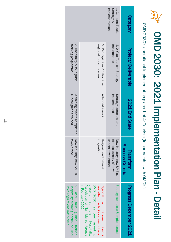## OMD 2030: 2021 Implementation Plan - Detail

OMD 2030's operational implementation plans 1 of 4: Tourism (in partnership with OMD 2030's operational implementation plans 1 of 4: Tourism (in partnership with OMDis)

|                                                                                                     |                                                                                                                                                                                         | Strategy &<br>implementation<br>1. Content: Tourism                         | Category                      |
|-----------------------------------------------------------------------------------------------------|-----------------------------------------------------------------------------------------------------------------------------------------------------------------------------------------|-----------------------------------------------------------------------------|-------------------------------|
| training programme<br>3. Hospitality & tour guide                                                   | regional tourism forums<br>2. Participate in 2 national or                                                                                                                              | implemented<br>1. 2-Year Tourism Strategy                                   | <b>Project/Deliverable</b>    |
| 6 local guides trained<br>3 training events completed                                               | Attended events                                                                                                                                                                         | implemented<br>Strategy complete and                                        | 2021 End State                |
| town brand<br>New industry, new SME's,                                                              | integration<br>Regional and national                                                                                                                                                    | upheld, town brand<br>Historic identity of town<br>New industry, new SME's, | Success Criteria<br>Transform |
| 6 Local tour guides trained<br>Covid regulations intervened<br>Hospitality training continued until | in February 2022<br>OMD 2030 has been asked to<br>cancelled due to Covid restrictions.<br>Association of Namipia conterence<br>present at the Hospitality<br>Regional & national events | Strategy complete & implemented                                             | Progress December 2021        |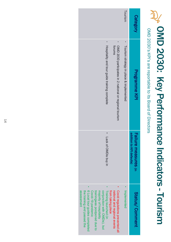## OMD 2030: Key Performance Indicators - Tourism

OMD 2030's KPI's are reportable to its Board of Directors OMD 2030's KPI's are reportable to its Board of Directors

|                                                                                                                                                                                                                                                                                                             | Tourism                                 | <b>Category</b>                                   |  |
|-------------------------------------------------------------------------------------------------------------------------------------------------------------------------------------------------------------------------------------------------------------------------------------------------------------|-----------------------------------------|---------------------------------------------------|--|
| Hospitality and tour guide training complete<br>OMD 2030 participates in 2 national or regional tourism<br>forums                                                                                                                                                                                           | Tourism strategy in place & implemented | Programme KPI                                     |  |
| Lack of OMDis buy in                                                                                                                                                                                                                                                                                        |                                         | addition to KPI defaults)<br>Failure measures (in |  |
| Covid regulations prevented all<br>6 Local tour guides completed<br>Training launched (in<br>assessment<br>from taking place<br>the training and passed the<br>trainingwas postponed due to<br>Covid-19 pandemic<br>conjunction with OMDis), but<br>national and regional events<br>majority of hospitality | Implemented                             | Status/Comment                                    |  |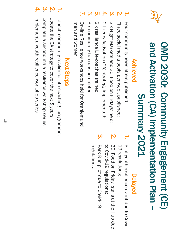

### OMD 2030: Community Engagement (CE) and Activation (CA) Implementation Plan -OMD 2030: Community Engagement (CE) and Activation (CA) Implementation Plan **Summary 2021** Summary 2021

#### Achieved Achieved

- 1. Four community newsletters published; Four community newsletters published;
- <u>ي</u> Three social media posts per week published; Three social media posts per week published;
- $\boldsymbol{\omega}$ Six Night Markets and 30' Food on Fridays' held; Six Night Markets and 30' Food on Fridays' held;
- 4. Citizenry Activation (CA) strategy implemented; Citizenry Activation (CA) strategy implemented;
- <u>ុ</u>ហ Six resilience Life-coaches trained Six resilience Life-coaches trained
- <u>က</u> Six community fun runs completed Six community fun runs completed
- $\blacktriangleright$ On-line Resilience workshops held for Oranjemund men and women On-line Resilience workshops held for Oranjemund men and women

### **Next Steps** Next Steps

.

- 1. Launch community resilience Life-coaching programme; Launch community resilience Life-coaching programme;
- **N** Update the CA strategy to cover the next 5 years Update the CA strategy to cover the next 5 years
- $\boldsymbol{\omega}$ Complete a second male resilience workshop series Complete a second male resilience workshop series
- 4. Implement a youth resilience workshop series Implement a youth resilience workshop series

### Delayed

- 1. Pilot youth resilience event due to Covid-19 regulations; 19 regulations; Pilot youth resilience event due to Covid-
- **N** SO frood on Friday, stalls at the Hub due 30 'Food on Friday' stalls at the Hub due
- $\mathbf{\dot{\omega}}$ to Covid-19 regulations; Park Run pilot due to Covid-19 Park Run pilot due to Covid-19 -19 regulations;
- regulations. regulations.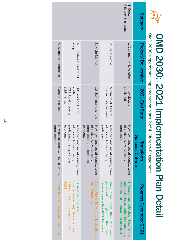|                                     |                                            |                                             | OMD 2030: 2021 Implementation Plan Detail                                                                    |                                                                                                                        |
|-------------------------------------|--------------------------------------------|---------------------------------------------|--------------------------------------------------------------------------------------------------------------|------------------------------------------------------------------------------------------------------------------------|
|                                     | OMD 2030's operational implementation 2 of |                                             | 4, Citizenry Engagement                                                                                      |                                                                                                                        |
| Category                            | <b>Project/ Deliverable</b>                | 2021 End State                              | Success Criteria<br>Transform                                                                                | <b>Progress December 2021</b>                                                                                          |
| Citizenry Engagement<br>1. Content: | 1. Community Newsletter                    | published<br>4 newsletters                  | of choice. Active citizenry<br>participation<br>New town and social identity, town                           | S Mewsletters published. New format<br>300+ people on newsletter mailing list.<br>and publishing schedule implemented. |
|                                     | 2. Social media                            | media posts per week<br>Minimum of 3 social | of choice. Active citizenry<br>pal<br>New town and social identity, town<br>rticipation                      | Facebook page has 4650 followers.<br>generated<br>Many more posts than 3 a week<br>throughout<br>the year.             |
|                                     | 3. Night Market                            | 10 Night markets held                       | of choice. Active citizenry<br>participation, support local<br>economy<br>New town and social identity, town | host 6 markets<br>Due to Covid 19. were only be able to                                                                |
|                                     | dous<br>4. Hub Market and retail           | slls<br>30 'Food on Friday'                 | $\overline{a}$<br>New town and social identity, town<br>choice. Active citizenry                             | 30 food on Fridays held<br>Due to Covid regulations & lack of                                                          |

sold in shop

dous ui plos

Event took place

Event took place

5. Women's conference

5. Women's conference

economy

economy

participation

participation

New social identity, active citizenry Not

New social identity, active citizenry

possible

due<br>Gue to

Covid

regulations.

participation, support local of choice. Active citizenry

participation, support local

visitors,

2021

the

shop

was

put oj<br>B

hold'

for

20%, local products stalls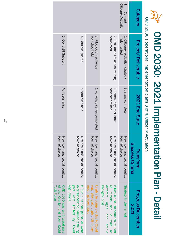## OMD 2030: 2021 Implementation Plan - Detail

OMD 2030's operational implementation plans 3 of 4, Citizenry Activation **DMD ORD?** c 3 of 1 Citizevina Artico

|                                        | OMD ZOSO S Operational implementation plans 3 or 4, culzenity Activation |                                           |                                                 |                                                                                                                     |
|----------------------------------------|--------------------------------------------------------------------------|-------------------------------------------|-------------------------------------------------|---------------------------------------------------------------------------------------------------------------------|
| Category                               | <b>Project/ Deliverable</b>                                              | 2021 End State                            | Success Criteria<br>Transtorm                   | <b>Progress December</b><br><b>2021</b>                                                                             |
| <b>Citizenry Activation</b><br>Content | implemented<br>1. Citizenry activation strategy                          | Strategy complete                         | town of choice<br>New town and social identity, | Strategy implemented                                                                                                |
|                                        | completed<br>2. Resilience life coach training                           | coaches trained<br>4 Community Resilience | town of choice<br>New town and social identity, | different ages<br>5 Resileince Life-coaches trained<br>backgrounds).<br>(3 female and<br>2 male or<br>pue<br>ethnic |
|                                        | 3. Pilot youth resilience<br>workshop held                               | 1 workshop series completed               | town of choice<br>New town and social identity, | Draple to complete due to Coxid<br>meetings took place<br>regulations although preliminary                          |
|                                        | 4. Park run piloted                                                      | 6 park runs held                          | town of choice<br>New town and social identity, | OVer subscriped. Numbers taking<br>6 Fun runs took place. All were<br>part were limited by Covid<br>regulations     |
|                                        | 5. Covid-19 Support                                                      | As needs arise                            | town of choice<br>New town and social identity, | OMD 2030 was an integral part<br>of the Oranjemund Town Covid<br>Task Force                                         |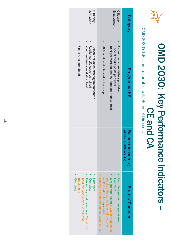

# OMD 2030: Key Performance Indicators OMD 2030: Key Performance Indicators -

## OMD 2030's KPI's are reportable to its Board of Directors CE and CA

OMD 2030's KPI's are reportable to its Board of Directors

|                                | Citizenry<br>Activation                                                                                      |                                                                                                              | <b>Citizenry</b><br>Engagement                                                                              | <b>Category</b>                                   |
|--------------------------------|--------------------------------------------------------------------------------------------------------------|--------------------------------------------------------------------------------------------------------------|-------------------------------------------------------------------------------------------------------------|---------------------------------------------------|
| 6 park runs completed          | Youth resilience workshop held<br>Resilience Life coaches trained<br>Citizen activation strategy implemented | 20% local products sold in the shop                                                                          | 10 Night Markets and 30 Fridays' held<br>3 social media posts per week<br>4 community newsletters published | <b>Programme KPI</b>                              |
|                                |                                                                                                              |                                                                                                              |                                                                                                             | addition to KPI defaults)<br>Failure measures (in |
| <b>Complete</b><br>regulations | <b>Complete</b><br>Preliminary work complete. Could not<br>Complete<br>hold the workshop due to Covid        | Unable to complete due to Covid-19. S<br>4.30 Food on Fridays held<br>required the cancellation of the other | 6 Night Markets held. Covid regulations<br><b>Complete</b><br>Complete (under new guidelines                | Status/Comment                                    |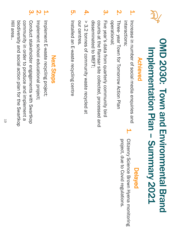

### OMD 2030: Town and Environmental Brand OMD 2030: Town and Environmental Brand Implementation Plan - Summary 2021 Implementation Plan Summary 2021

#### Achieved Achieved

- 1. Increase in number of social media enquiries and Interactions; interactions; Increase in number of social media enquiries and
- **2.** operational; Three-year Town for Tomorrow Action Plan operational; year Town for Tomorrow Action Plan
- $\boldsymbol{\omega}$ Five year's data from quarterly community bird disseminated to MEFT; counts at the Ramsar site collected, processed and disseminated to MEFT; counts at the Ramsar site collected, processed and Five year's data from quarterly community bird
- 4. our centres  $>$  3.2 tonnes of community waste recycled at our centres.  $>$  3.2 tonnes of community waste recycled at
- <u>ព្រ</u> 5. Installed an E-waste recycling centre Installed an E-waste recycling centre

### Delayed

Citizenry Science Brown Hyena monitoring project, due to Covid regulations project, due to Covid regulations. Citizenry Science Brown Hyena monitoring

1.

#### **Next Steps** Next Steps

- <u>ب</u> Implement E-waste recycling project; Implement E-waste recycling project;
- **N** Implement school educational project; Implement school educational project;

 $\mathbf{\omega}$ 

Conduct stakeholder engagements with Swartkop Hill area. community in order to produce and implement a biodiversity and social action plan for the Swartkop community in order to produce and implement a Conduct stakeholder engagements with Swartkop Hill area..biodiversity and social action plan for the

 $\vec{6}$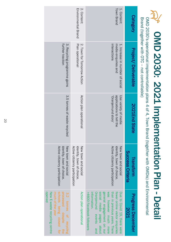| l.              |
|-----------------|
|                 |
|                 |
|                 |
|                 |
|                 |
|                 |
|                 |
|                 |
| J               |
|                 |
| i               |
|                 |
|                 |
|                 |
|                 |
|                 |
|                 |
|                 |
|                 |
|                 |
|                 |
|                 |
|                 |
|                 |
|                 |
|                 |
|                 |
|                 |
|                 |
|                 |
|                 |
|                 |
| I               |
|                 |
|                 |
|                 |
| ite<br>District |
|                 |
|                 |
|                 |
| NPIC<br>C<br>L  |
|                 |
|                 |
|                 |
|                 |
| Deta            |
|                 |
|                 |
|                 |
|                 |
|                 |

OMD 2030's operational implementation plans 4 of 4, Town Brand (together with OMDis) and Environmental Brand (together with OTC – not controllable)

| $\tilde{S}$ | Category                                | Town Brand<br>1. Content:                                                                                                                                                                                                                                          | 2. Content:<br>Environmental Brand                                                |                                                                                                                                        |
|-------------|-----------------------------------------|--------------------------------------------------------------------------------------------------------------------------------------------------------------------------------------------------------------------------------------------------------------------|-----------------------------------------------------------------------------------|----------------------------------------------------------------------------------------------------------------------------------------|
|             | <b>Project/ Deliverable</b>             | 1. Increase in number of social<br>interactions<br>media enquiries and                                                                                                                                                                                             | Plan operational<br>2. Town for Tomorrow Action                                   | 3. Recycling programme gains<br>further traction                                                                                       |
|             | 2021End State                           | applications to tell the<br>Voranjemund story'<br>Use variety of media                                                                                                                                                                                             | Action plan operational                                                           | 3.5 tonnes of waste recycled                                                                                                           |
|             | Success Criteria<br>Transform           | Active citizenry participation<br>identity, town of choice<br>New town and socia                                                                                                                                                                                   | Active citizenry participation<br>identity, town of choice<br>New town and social | Active citizenry participation<br>New town and social<br>identity, town of choice                                                      |
|             | <b>Progress December</b><br><b>2021</b> | general engagement on our<br>social media pages about<br>than in previous years. There<br><b>Oranjemund</b><br>was however much more<br>fewer online visitor enquiries<br>>4600 Facebook followers<br>Due to Covid 19, there were<br>information.<br>events<br>pue | Action plan operationa                                                            | opened<br>schools being closed for<br>much of the year<br>processed despite<br>New E-waste recycling centre<br>3.2 tonnes of recycling |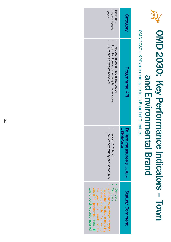

### OMD 2030: Key Performance Indicators and Environmental Brand and Environmental Brand  $\overline{\phantom{a}}$ **Town**

OMD 2030's KPI's are reportable to its Board of Directors OMD 2030's KPI's are reportable to its Board of Directors

| <b>Category</b>                           | Programme KPI                                                                                                     | to KPI defaults)<br><b>Failure measures</b> (in addition | Status/Comment                                                                                                                                                                                                                           |
|-------------------------------------------|-------------------------------------------------------------------------------------------------------------------|----------------------------------------------------------|------------------------------------------------------------------------------------------------------------------------------------------------------------------------------------------------------------------------------------------|
| Environmental<br>Town and<br><b>Brand</b> | 3,5 tonnes of waste recycled<br>Town for Tomorrow action plan operational<br>Increase in social media interaction | Lack of OTC buy in<br>Lack of community and school buy   | 3.52 tonnes of waste recycled<br><b>Complete</b><br><b>Complete</b><br>waste recycling centre installed<br>centres being shut for much of<br>Covid-19 pandemic. New E-<br>the year as a result of the<br>Target not met due to recycling |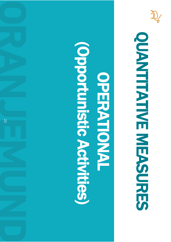

# OUTHE NEWSORE OONTINE MEASURES

## **Coportumistic Activities** (Opportunistic Activities)OPERATION OPERATION

22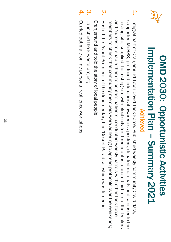

1.

### Implementation Plan - Summary 2021 Implementation Plan OMD 2030: Opportunistic Activities OMD 2030: Opportunistic Activities Achieved Achieved Summary 2021

- supported MoHSS, produced educational awareness posters, donated materials and sanitiser to the Integral part of Oranjenum of Dexic Task Torished weekly connuntity Covid Task Force. The Sovid Task Than Dovid Task The Sovid Task The Sovid Task The Sovid Task The Sovid Task The Sovid Task The Sovid Task The Sovid Task supported MoHSS, produced educational awareness posters, donated materials and sanitiser to the Integral part of Oranjemund Town Covid Task Force. Published weekly community Covid data,
- members to check that community members were adhering to agreed protocols over the weekends; and Nurses to enable them to contact patients, conducted weekly patrols with other task force testing site, supplied the testing site with electricity for three months, donated airtime to the Doctors and Nurses to enable them to contact patients, conducted weekly patrols with other task force testing site, supplied the testing site with electricity for three months, donated airtime to the Doctors members to check that community members were adhering to agreed protocols over the weekends;
- **2.** Hosted the 'AvantHosted the 'Avant-Premiere' of the doumentand' film 'Desert Paradise' which was filmed in Premiere' of the documentary film 'Desert Paradise' which was filmed in

Oranjemund and told the story of local people; Oranjemund and told the story of local people;

- $\mathbf{\omega}$ Launched the E-waste project; Launched the E-waste project;
- 4. Carried out male online personal resilience workshops. Carried out male online personal resilience workshops.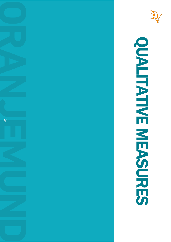



# **OUTHE NEWSORE** OUTHE MEASURES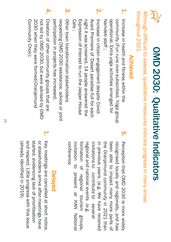

## OMD 2030: Qualitative Indicators OMD 2030: Qualitative Indicators

throughout 2021 throughout 2021. Although difficult to assess, qualitative measures indicate progress in many areas Although difficult to assess, qualitative measures indicate progress in many areas

#### Achieved Achieved

- 1. operational. Extra yoga activities arranged for Increase in health and fitness within the community (Fun runs over-subscribed, Yoga group Namdeb staff; Namdeb operational. Extra yoga activities arranged for community (Fun runs over Increase in health and fitness within the -subscribed, Yoga group
- **2.** Cafe ; night it was screened, 14 people answered the Avant Premiere of 'Desert paradise full for each Increase in citizen engagement despite Covid: Expression of Interest to run the Jasper House Avant Premiere of 'Desert paradise full for each Expression of Interest to run the Jasper House night it was screened, 14 people answered the Increase in citizen engagement despite Covid:
- $\boldsymbol{\omega}$ participation in projects has increased; requesting OMD 2030 assistance, advice or joint Other town transformation stakeholders participation in projects has increased; requesting OMD 2030 assistance, advice or Other town transformation stakeholders
- 4. Community Choir); 2030 when they were formed (Oranjemund not led by OMD 2030, but were advised by OMD Creation of other community groups that are Community Choir); 2030 when they were formed not led by OMD 2030, but were advised by OMD Creation of other community groups that are (Oranjemund
- <u>ហុ</u> Perception that OMD 2030 თ' more widely recognised locally and regionally, and has been able to impact many more parts <u>ር</u> the Oranjemund community 2. 2021 than in<br>E previous years. (e.g. ≫<br>W have received invitations to contribute to several regional and national events (e.g. formation <u>ር</u> regional tourism groups, invitation to present م<br>+ H<br>HAN National

### Delayed

conference

conterence

<u>ب</u> Key meetings are cancelled at short notice, and respect. Little progress with this issue started, evidencing lack of prioritisation or stakeholders arrive after meetings have (already identified in 2019). and respect. Little progress with this issue started, evidencing lack of prioritisation or stakeholders arrive after meetings have (already identified in 2019). Key meetings are cancelled at short notice,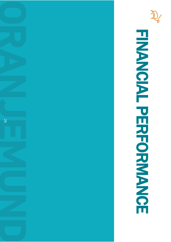

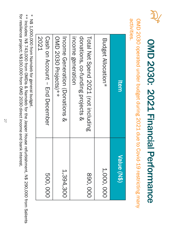

# OMD 2030: 2021 Financial Performance OMD 2030: 2021 Financial Performance

activities. activities. OMD 2030 operated under budget during 2021 due to Covid-19 restricting many OMD 2030 operated under budget during 2021 due to Covid-19 restricting many

| 500,000     | 2021<br>Cash on Account – End December                                                       |
|-------------|----------------------------------------------------------------------------------------------|
| 1,394,300   | OND 2030 Projects)**<br>Income Generation (Donations &                                       |
| 890,000     | donations, co-funding projects &<br>Income generation<br>Total Net Spend 2021 (not including |
| 1,000,000   | Budget Allocation*                                                                           |
| Value (N\$) | <b>Item</b>                                                                                  |

\* N\$ 1,000,000 from Namdeb for general budget. \* N\$ 1,000,000 from Namdeb for general budget.

\*\* Includes:  $\overline{\mathcal{Z}}$  $\boldsymbol{\varTheta}$ 743,000 from OMDis & Namdeb for the Jasper House refurbishment,  $\overline{\mathcal{Z}}$  $\boldsymbol{\varTheta}$ 290,000 from Salients for resilience project;  $\overline{\mathbb{Z}}$ \$100,000 from O<br>MD 2030 direct income and bank interest.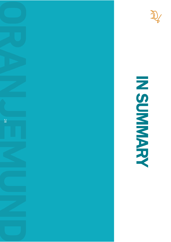



N SUMMARY

NANNAN NAN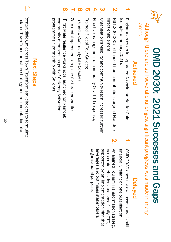

# OMD 2030: 2021 Successes and Gaps OMD 2030: 2021 Successes and Gaps

Although there are still several challenges, significant progress was made in many Although there are still several challenges, significant progress was made in many

### areas.

#### Achieved Achieved

- ٣. Registration as an Incorporated Association Not for Gain (complete January 2021); (complete January 2021); Registration as an Incorporated Association Not for Gain
- **N** direct enablement; N\$1,300,000 self-funded from contributions beyond Namdeb direct enablement; N\$1,300,000 self-funded from contributions beyond Namdeb
- $\mathbf{\hat{S}}$ Organisation's visibility and community reach increased further; Organisation's visibility and community reach increased further;
- 4. Effective management of community Covid-19 response Effective management of community Covid-19 response;
- Trained 6 local Tour Guides; Trained 6 local Tour Guides;

<u>ហ្គ</u>

 $\Omega$ 

 $\overline{\text{O}}$ 

- Trained 5 Community Life Coaches, Trained 5 Community Life Coaches;
- $\blacktriangleright$ Zero rental agreements in place for three properties; Zero rental agreements in place for three properties;
- 8. First Male resilience workshops launched for Namdeb programme (in partnership with Salients community members, as part of Citizenry Activation community members, as part of Citizenry Activation programme (in partnership with First Male resilience workshops launched for Namdeb Salients.

### Delayed

- 1. OMD 2030 does not own assets and is still financially reliant on one organisation; financially reliant on one organisation OMD 2030 does not own assets and is still
- **2.** An aligned Tourism Transformation strategy organisational purpose. supported by an implementation plan that across stakeholders and specifically OTC, leverages and optimises stakeholders organisational purpose. leverages and optimises stakeholders supported by an across stakeholders and specifically OTC, An aligned Tourism Transformation strategy implementation plan that

#### **Next Steps** Next Steps

updated Town Transformation strategy and implementation plan. Restart dialogue across Town Transform stakeholders to formulate updated Town Transformation strategy and implementation plan. Restart dialogue across Town Transform stakeholders to formulate

1.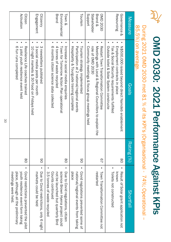# OMD 2030: 2021 Performance Against KPIs OMD 2030: 2021 Performance Against KPIs

### 85.5%) on average. 85.5%) on average. During 2021 OMD 2030 met 81 % of its KPI's (Organisational - 74%; Operational  $\overline{\phantom{a}}$

| Measure                                                         | Glals                                                                                                                                                                         | Rating (%)    | Shortfall                                                                                                                                                       |
|-----------------------------------------------------------------|-------------------------------------------------------------------------------------------------------------------------------------------------------------------------------|---------------|-----------------------------------------------------------------------------------------------------------------------------------------------------------------|
| Resourcing<br>Governance &                                      | Outside toilet & Solar System constructe<br>Employment contracts in place<br>N\$00,000 raised peyond direct Namade enablement<br>Tax & Social Security requirements fulfilled | $\frac{8}{2}$ | Toilets not constructed<br><b>NNONN</b><br>Result of Solar grant application not                                                                                |
| Support<br>Stakeholder<br><b>Brand &amp;</b><br><b>OND 2030</b> | Connunity meetings & focus acord meetings held<br>role of OMD 2030<br>Meetings with Local & Regional Councillors to explain the<br>Restart Town Transformation Committee      | 29            | restarted<br>Town Transformation Committee not                                                                                                                  |
| Tourism                                                         | Hospitality & Tourguide training complete<br>Participation at 2 national/regional events<br>Tourism strategy implemented                                                      | 80            | Covid regulations prevented some of<br>place<br>national/regional events from taking                                                                            |
| Brand<br>Environmental<br>Town &                                | 6 months citizen science data collected<br>4 tonnes of waste recycled<br>Increase in social media enquiries<br>Town for Tomorrow Action Plan operational                      | 80            | 3.5 tones of waste recycled<br>Counts continued<br>science Brown Hyena project could<br>Due to Covid regulations, citizen<br>not be launched but quarterly Bird |
| Engagement<br>Citizenry                                         | 3 social media posts per month<br>3 newsletters published<br>10 pight markets & 30 Food on Fridays held                                                                       | 80            | markets could be held<br>Due to Covid restrictions, only 6 night                                                                                                |
| Activation<br>Citizen                                           | 6 fun runs completed<br>1 pilot youth resilience event held<br>Resilience Life coaches trained                                                                                | $\frac{8}{2}$ | Covid restrictions prevented the pilot<br>place, although all the preliminary<br>Noth resilience event form tsking<br>meetings were held.                       |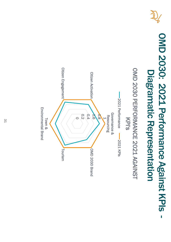

### OMD 2030: 2021 Performance Against KPIs -OMD 2030: 2021 Performance Against KPIs Diagramatic Representation **Diagramatic** Representation

#### **Citizen Engagement** OMD 2030 PERFORMANCE 2021 AGAINST Citizen Engagement OMD 2030 PERFORMANCE 2021 AGAINST **Citizen Activation** Citizen Activation 2021 Performance 2021 Performance **Environmental Brand** Environmental Brand Governance & 0.2 0.4 0.6 0.8 Governance & Resourcing Resourcing KPI's  $\overline{\mathsf{C}}$ Town &  $-2021$  KPIs 2021 KPIsOMD 2030 Brand Tourism OMD 2030 Brand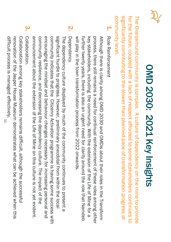

## **OMD 2030: 2021 Key Insights** OMD 2030: 2021 Key Insights

community level. significantly contributing to the slower than planned pace of transformation progress at for the future, coupled with a lack of respect afforded to some stakeholders continues to significantly contributing to the slower than planned pace of transformation progress at for the future, coupled with a lack of respect afforded to some stakeholders continues to The Oranjemund community is complex. A culture of dependency on the mine to provide The Oranjemund community level. community is complex. A culture of dependency on the mine to provide

1. Role Reinforcement Role Reinforcement

will play in the town transformation process from 2022 onwards. further twenty years, there is also an urgent need for clarity around the role that Namdeb key stakeholders, including the community. With the extension of the Life of Mine for a process, there still remains a need for continual reinforcement of these roles among other Although there is clarity among OMD 2030 and OMD is about their roles in the Transform will play in the town transformation process from 2022 onwards. further twenty years, there is also an urgent need for clarity around the role that Although there is clarity among OMD 2030 and key stakeholders, including the community. With the extension of the Life of Mine for a process, there still remains a need for continual reinforcement of these roles among other about their roles in the Transform Namdeb

**N** Dependency Dependency

annoculoement apoct the extension of the Life of Mine on this culture is not yet exident community resilience, and decreasing the dependency culture. The impact of the encouraging the mindset and behaviour changes necessary for increasing personal and community indicates that the Citizenry Activation programme is having some success with signiticant hurdle to progress. However, preliminary anecdotal from within the local announcement about the extension of the Life of Mine on this culture is not yet evident. community resilience, and decreasing the dependency culture. The impact of the encouraging the mindset and behaviour changes necessary for increasing personal and community indicates that the Citizenry Activation programme is having some success with significant hurdle to progress. However, preliminary anecdotal from within the local The dependency culture displayed by much of the community continues to present a The dependency culture displayed by much of the community continues to present a

 $\boldsymbol{\omega}$ Collaboration Collaboration.

difficult process is managed effectively. renovation of the Jasper House Museum demonstrates what can be achieved when this Collaboration among key stakeholders remains difficult, although the successful difficult process is managed effectively. Collaboration among key stakeholders remains difficult, although the successful renovation of the Jasper House Museum demonstrates what can be achieved when this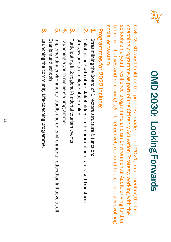

## OMD 2030: Looking Forwards OMD 2030: Looking Forwards

social ecosystem. coaching programme as part of the Citizenry Activation Strategy, working with the coaching programme as part of the Citizenry Activation Strategy, working with the<br>schools on a youth resilience programme and an Environmental Audit, driving further<br>tourism initiatives and remaining agile to effectively r tourism initiatives and remaining agile to effectively respond to a continually evolving schools on a youth resilience programme and an Environmental Audit, driving further OMD 2030 must build on the progress made during 2021; implementing the Life-OMD 2030 must build on the progress made during 2021; implementing the Life-

## Programmes for 2022 include: Programmes for 2022 include:

- 1. Streamlining the Board of Directors structure & function; Streamlining the Board of Directors structure & function;
- <u>ي</u> Collaborating with of a revised Transicor of a revised Transform strategy and an implementation plan; strategy and an implementation plan; Collaborating with other stakeholders on the production of a revised Transform
- <u>ယ</u> Participating in 2 regional/national tourism events Participating in 2 regional/national tourism events
- 4. Launching a youth resilience programme; Launching a youth resilience programme;
- <u>ហុ</u> Implementing environmental audits and an environmental education initiative at all Oranjemund schools Oranjemund Implementing environmental audits and an environmental education initiative at all schools.
- **O**. Launching the community Life-coaching programme. Launching the community Life-coaching programme.